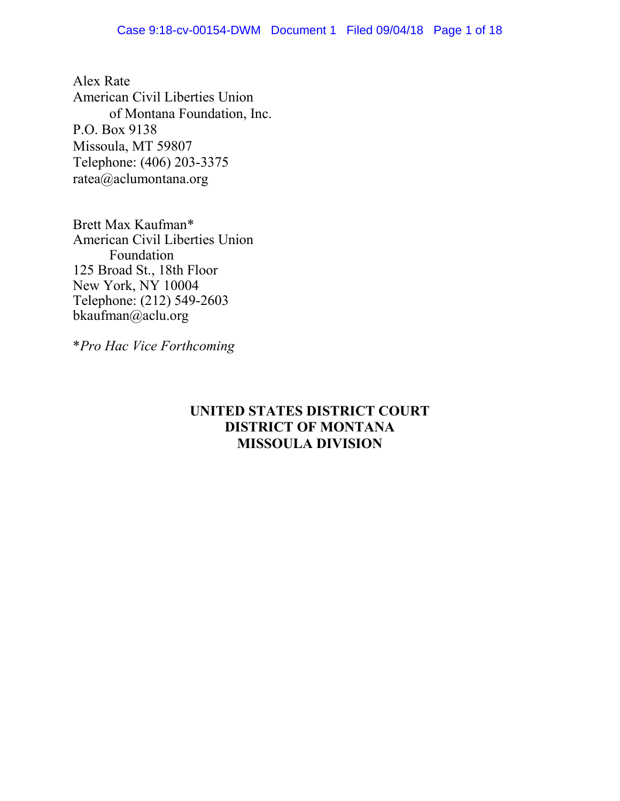Alex Rate American Civil Liberties Union of Montana Foundation, Inc. P.O. Box 9138 Missoula, MT 59807 Telephone: (406) 203-3375 [ratea@aclumontana.org](mailto:ratea@aclumontana.org)

Brett Max Kaufman\* American Civil Liberties Union Foundation 125 Broad St., 18th Floor New York, NY 10004 Telephone: (212) 549-2603 [bkaufman@aclu.org](mailto:bkaufman@aclu.org)

\**Pro Hac Vice Forthcoming* 

# **UNITED STATES DISTRICT COURT DISTRICT OF MONTANA MISSOULA DIVISION**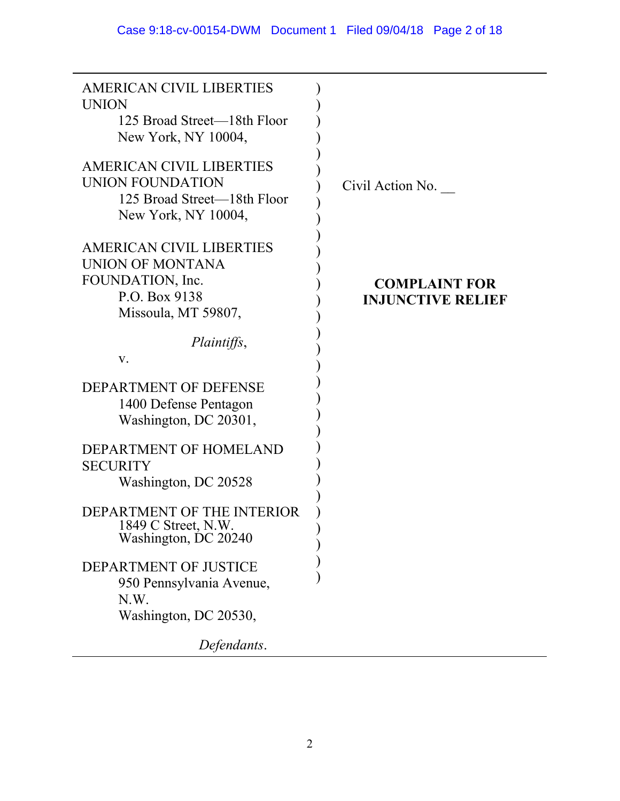| <b>AMERICAN CIVIL LIBERTIES</b><br><b>UNION</b><br>125 Broad Street—18th Floor |                                                  |
|--------------------------------------------------------------------------------|--------------------------------------------------|
| New York, NY 10004,                                                            |                                                  |
| <b>AMERICAN CIVIL LIBERTIES</b><br>UNION FOUNDATION                            | Civil Action No.                                 |
| 125 Broad Street—18th Floor<br>New York, NY 10004,                             |                                                  |
| <b>AMERICAN CIVIL LIBERTIES</b><br>UNION OF MONTANA                            |                                                  |
| FOUNDATION, Inc.<br>P.O. Box 9138<br>Missoula, MT 59807,                       | <b>COMPLAINT FOR</b><br><b>INJUNCTIVE RELIEF</b> |
| <i>Plaintiffs,</i><br>V.                                                       |                                                  |
| DEPARTMENT OF DEFENSE<br>1400 Defense Pentagon<br>Washington, DC 20301,        |                                                  |
| DEPARTMENT OF HOMELAND<br><b>SECURITY</b><br>Washington, DC 20528              |                                                  |
| DEPARTMENT OF THE INTERIOR<br>1849 C Street, N.W.<br>Washington, DC 20240      |                                                  |
| DEPARTMENT OF JUSTICE<br>950 Pennsylvania Avenue,<br>N.W.                      |                                                  |
| Washington, DC 20530,                                                          |                                                  |
| Defendants.                                                                    |                                                  |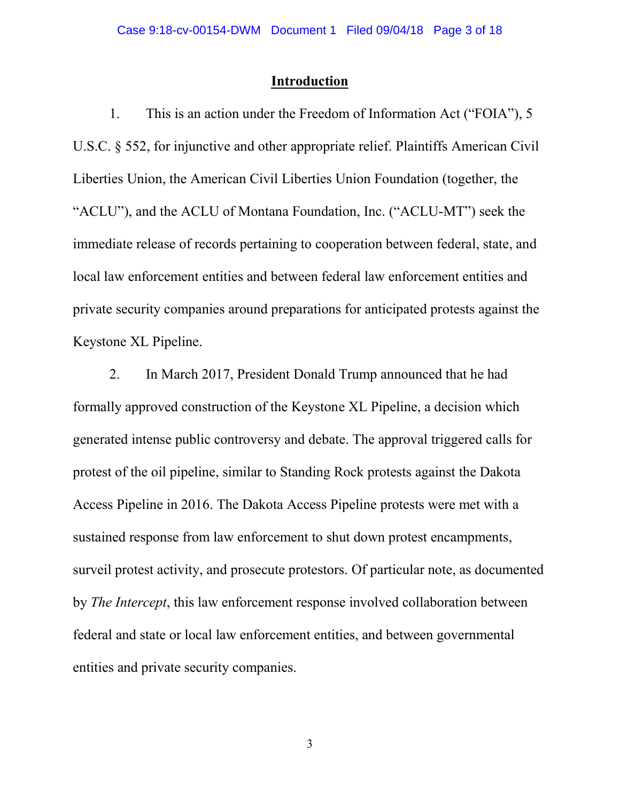# **Introduction**

1. This is an action under the Freedom of Information Act ("FOIA"), 5 U.S.C. § 552, for injunctive and other appropriate relief. Plaintiffs American Civil Liberties Union, the American Civil Liberties Union Foundation (together, the "ACLU"), and the ACLU of Montana Foundation, Inc. ("ACLU-MT") seek the immediate release of records pertaining to cooperation between federal, state, and local law enforcement entities and between federal law enforcement entities and private security companies around preparations for anticipated protests against the Keystone XL Pipeline.

2. In March 2017, President Donald Trump announced that he had formally approved construction of the Keystone XL Pipeline, a decision which generated intense public controversy and debate. The approval triggered calls for protest of the oil pipeline, similar to Standing Rock protests against the Dakota Access Pipeline in 2016. The Dakota Access Pipeline protests were met with a sustained response from law enforcement to shut down protest encampments, surveil protest activity, and prosecute protestors. Of particular note, as documented by *The Intercept*, this law enforcement response involved collaboration between federal and state or local law enforcement entities, and between governmental entities and private security companies.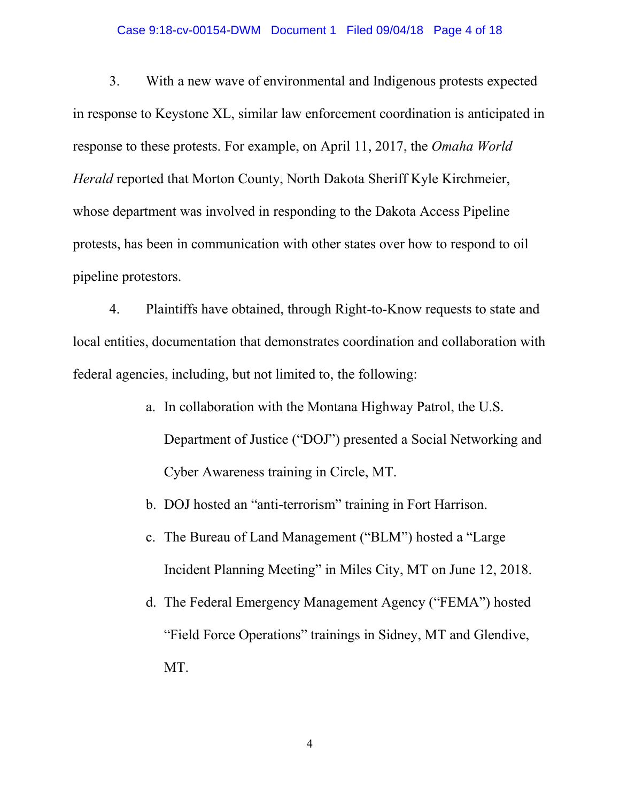#### Case 9:18-cv-00154-DWM Document 1 Filed 09/04/18 Page 4 of 18

3. With a new wave of environmental and Indigenous protests expected in response to Keystone XL, similar law enforcement coordination is anticipated in response to these protests. For example, on April 11, 2017, the *Omaha World Herald* reported that Morton County, North Dakota Sheriff Kyle Kirchmeier, whose department was involved in responding to the Dakota Access Pipeline protests, has been in communication with other states over how to respond to oil pipeline protestors.

4. Plaintiffs have obtained, through Right-to-Know requests to state and local entities, documentation that demonstrates coordination and collaboration with federal agencies, including, but not limited to, the following:

- a. In collaboration with the Montana Highway Patrol, the U.S. Department of Justice ("DOJ") presented a Social Networking and Cyber Awareness training in Circle, MT.
- b. DOJ hosted an "anti-terrorism" training in Fort Harrison.
- c. The Bureau of Land Management ("BLM") hosted a "Large Incident Planning Meeting" in Miles City, MT on June 12, 2018.
- d. The Federal Emergency Management Agency ("FEMA") hosted "Field Force Operations" trainings in Sidney, MT and Glendive, MT.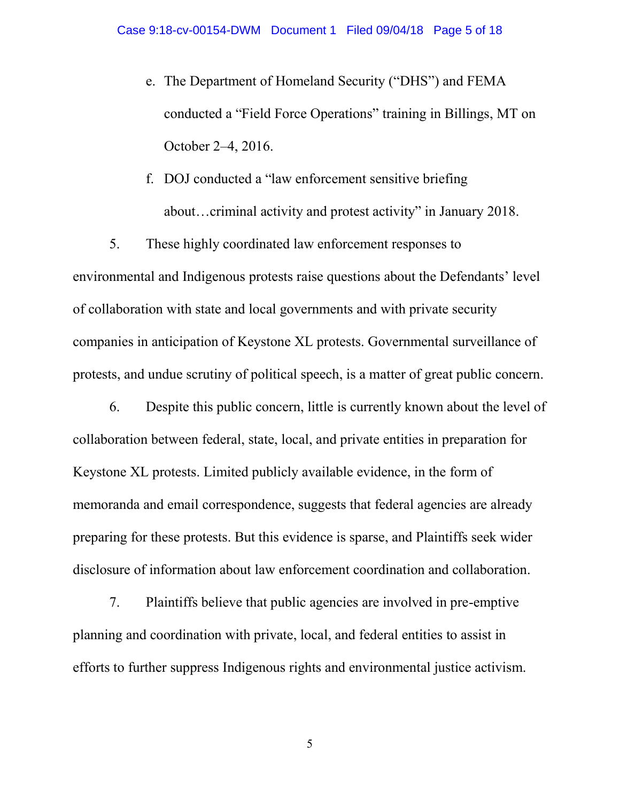- e. The Department of Homeland Security ("DHS") and FEMA conducted a "Field Force Operations" training in Billings, MT on October 2–4, 2016.
- f. DOJ conducted a "law enforcement sensitive briefing about…criminal activity and protest activity" in January 2018.

5. These highly coordinated law enforcement responses to environmental and Indigenous protests raise questions about the Defendants' level of collaboration with state and local governments and with private security companies in anticipation of Keystone XL protests. Governmental surveillance of protests, and undue scrutiny of political speech, is a matter of great public concern.

6. Despite this public concern, little is currently known about the level of collaboration between federal, state, local, and private entities in preparation for Keystone XL protests. Limited publicly available evidence, in the form of memoranda and email correspondence, suggests that federal agencies are already preparing for these protests. But this evidence is sparse, and Plaintiffs seek wider disclosure of information about law enforcement coordination and collaboration.

7. Plaintiffs believe that public agencies are involved in pre-emptive planning and coordination with private, local, and federal entities to assist in efforts to further suppress Indigenous rights and environmental justice activism.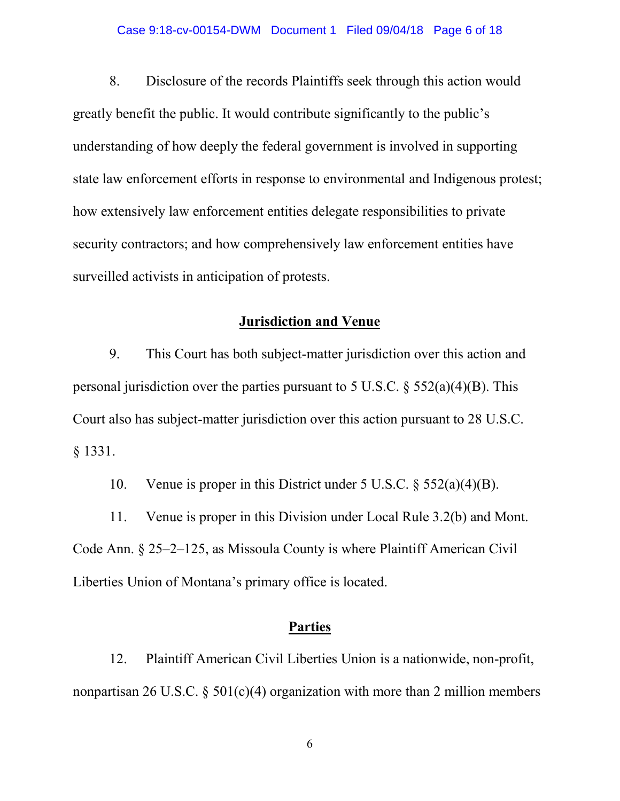#### Case 9:18-cv-00154-DWM Document 1 Filed 09/04/18 Page 6 of 18

8. Disclosure of the records Plaintiffs seek through this action would greatly benefit the public. It would contribute significantly to the public's understanding of how deeply the federal government is involved in supporting state law enforcement efforts in response to environmental and Indigenous protest; how extensively law enforcement entities delegate responsibilities to private security contractors; and how comprehensively law enforcement entities have surveilled activists in anticipation of protests.

# **Jurisdiction and Venue**

9. This Court has both subject-matter jurisdiction over this action and personal jurisdiction over the parties pursuant to 5 U.S.C.  $\delta$  552(a)(4)(B). This Court also has subject-matter jurisdiction over this action pursuant to 28 U.S.C. § 1331.

10. Venue is proper in this District under 5 U.S.C. § 552(a)(4)(B).

11. Venue is proper in this Division under Local Rule 3.2(b) and Mont. Code Ann. § 25–2–125, as Missoula County is where Plaintiff American Civil Liberties Union of Montana's primary office is located.

# **Parties**

12. Plaintiff American Civil Liberties Union is a nationwide, non-profit, nonpartisan 26 U.S.C.  $\S$  501(c)(4) organization with more than 2 million members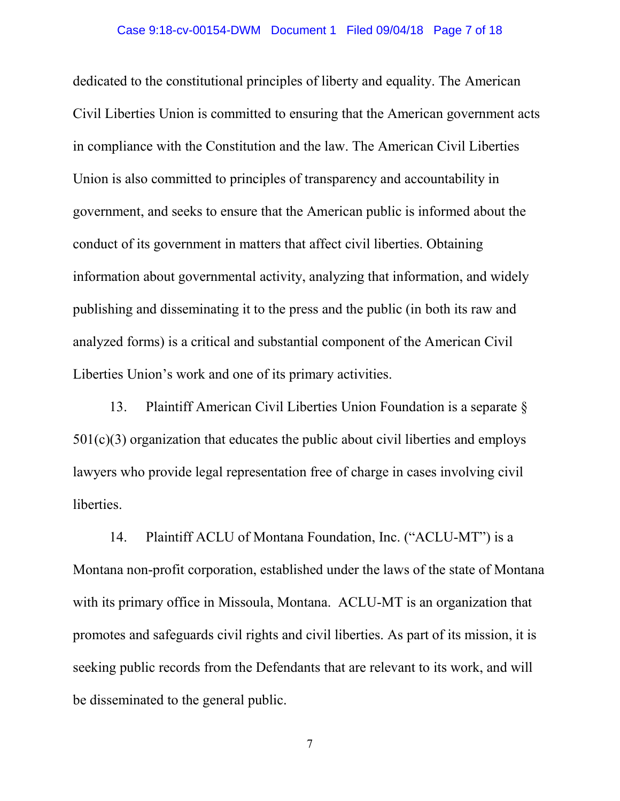#### Case 9:18-cv-00154-DWM Document 1 Filed 09/04/18 Page 7 of 18

dedicated to the constitutional principles of liberty and equality. The American Civil Liberties Union is committed to ensuring that the American government acts in compliance with the Constitution and the law. The American Civil Liberties Union is also committed to principles of transparency and accountability in government, and seeks to ensure that the American public is informed about the conduct of its government in matters that affect civil liberties. Obtaining information about governmental activity, analyzing that information, and widely publishing and disseminating it to the press and the public (in both its raw and analyzed forms) is a critical and substantial component of the American Civil Liberties Union's work and one of its primary activities.

13. Plaintiff American Civil Liberties Union Foundation is a separate § 501(c)(3) organization that educates the public about civil liberties and employs lawyers who provide legal representation free of charge in cases involving civil liberties.

14. Plaintiff ACLU of Montana Foundation, Inc. ("ACLU-MT") is a Montana non-profit corporation, established under the laws of the state of Montana with its primary office in Missoula, Montana. ACLU-MT is an organization that promotes and safeguards civil rights and civil liberties. As part of its mission, it is seeking public records from the Defendants that are relevant to its work, and will be disseminated to the general public.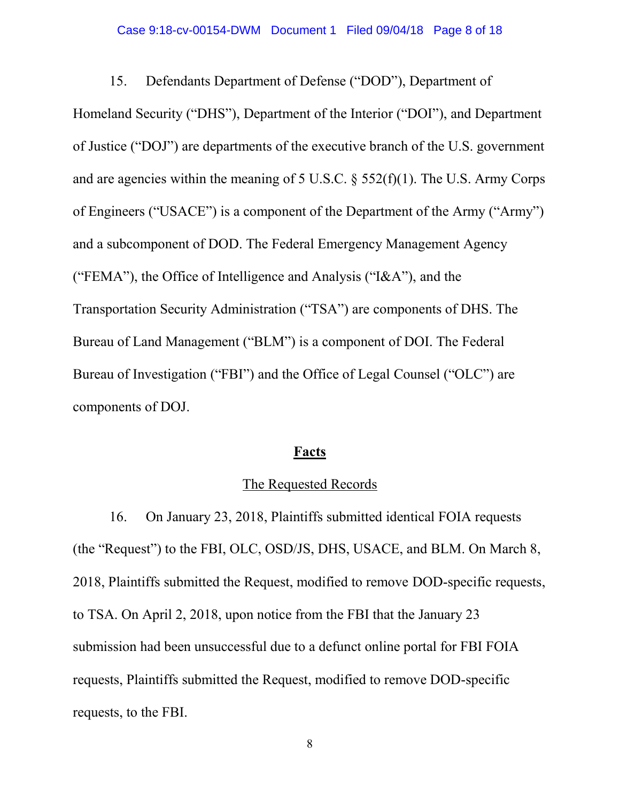#### Case 9:18-cv-00154-DWM Document 1 Filed 09/04/18 Page 8 of 18

15. Defendants Department of Defense ("DOD"), Department of

Homeland Security ("DHS"), Department of the Interior ("DOI"), and Department of Justice ("DOJ") are departments of the executive branch of the U.S. government and are agencies within the meaning of 5 U.S.C. § 552(f)(1). The U.S. Army Corps of Engineers ("USACE") is a component of the Department of the Army ("Army") and a subcomponent of DOD. The Federal Emergency Management Agency ("FEMA"), the Office of Intelligence and Analysis ("I&A"), and the Transportation Security Administration ("TSA") are components of DHS. The Bureau of Land Management ("BLM") is a component of DOI. The Federal Bureau of Investigation ("FBI") and the Office of Legal Counsel ("OLC") are components of DOJ.

### **Facts**

### The Requested Records

16. On January 23, 2018, Plaintiffs submitted identical FOIA requests (the "Request") to the FBI, OLC, OSD/JS, DHS, USACE, and BLM. On March 8, 2018, Plaintiffs submitted the Request, modified to remove DOD-specific requests, to TSA. On April 2, 2018, upon notice from the FBI that the January 23 submission had been unsuccessful due to a defunct online portal for FBI FOIA requests, Plaintiffs submitted the Request, modified to remove DOD-specific requests, to the FBI.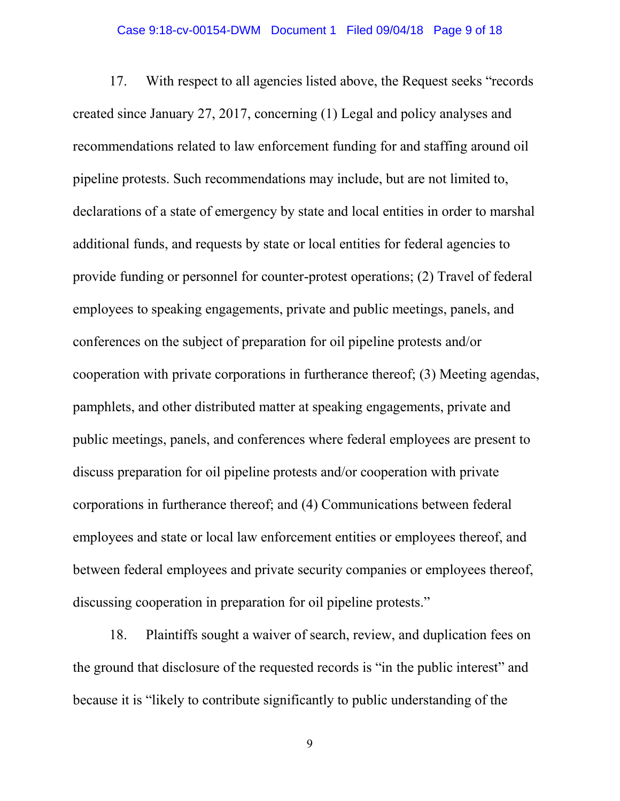#### Case 9:18-cv-00154-DWM Document 1 Filed 09/04/18 Page 9 of 18

17. With respect to all agencies listed above, the Request seeks "records created since January 27, 2017, concerning (1) Legal and policy analyses and recommendations related to law enforcement funding for and staffing around oil pipeline protests. Such recommendations may include, but are not limited to, declarations of a state of emergency by state and local entities in order to marshal additional funds, and requests by state or local entities for federal agencies to provide funding or personnel for counter-protest operations; (2) Travel of federal employees to speaking engagements, private and public meetings, panels, and conferences on the subject of preparation for oil pipeline protests and/or cooperation with private corporations in furtherance thereof; (3) Meeting agendas, pamphlets, and other distributed matter at speaking engagements, private and public meetings, panels, and conferences where federal employees are present to discuss preparation for oil pipeline protests and/or cooperation with private corporations in furtherance thereof; and (4) Communications between federal employees and state or local law enforcement entities or employees thereof, and between federal employees and private security companies or employees thereof, discussing cooperation in preparation for oil pipeline protests."

18. Plaintiffs sought a waiver of search, review, and duplication fees on the ground that disclosure of the requested records is "in the public interest" and because it is "likely to contribute significantly to public understanding of the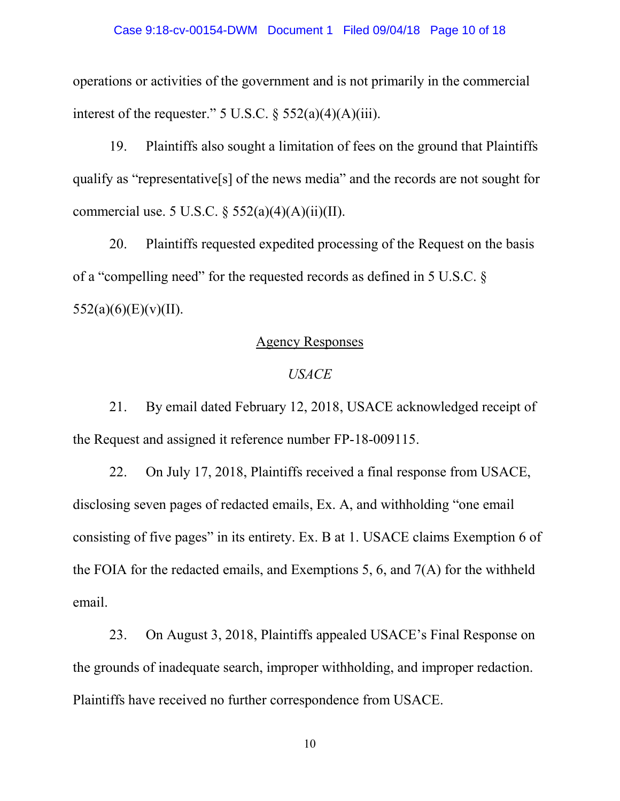operations or activities of the government and is not primarily in the commercial interest of the requester."  $5 \text{ U.S.C.}$  §  $552(a)(4)(A)(iii)$ .

19. Plaintiffs also sought a limitation of fees on the ground that Plaintiffs qualify as "representative[s] of the news media" and the records are not sought for commercial use. 5 U.S.C.  $\S$  552(a)(4)(A)(ii)(II).

20. Plaintiffs requested expedited processing of the Request on the basis of a "compelling need" for the requested records as defined in 5 U.S.C. §  $552(a)(6)(E)(v)(II)$ .

# Agency Responses

## *USACE*

21. By email dated February 12, 2018, USACE acknowledged receipt of the Request and assigned it reference number FP-18-009115.

22. On July 17, 2018, Plaintiffs received a final response from USACE, disclosing seven pages of redacted emails, Ex. A, and withholding "one email consisting of five pages" in its entirety. Ex. B at 1. USACE claims Exemption 6 of the FOIA for the redacted emails, and Exemptions 5, 6, and 7(A) for the withheld email.

23. On August 3, 2018, Plaintiffs appealed USACE's Final Response on the grounds of inadequate search, improper withholding, and improper redaction. Plaintiffs have received no further correspondence from USACE.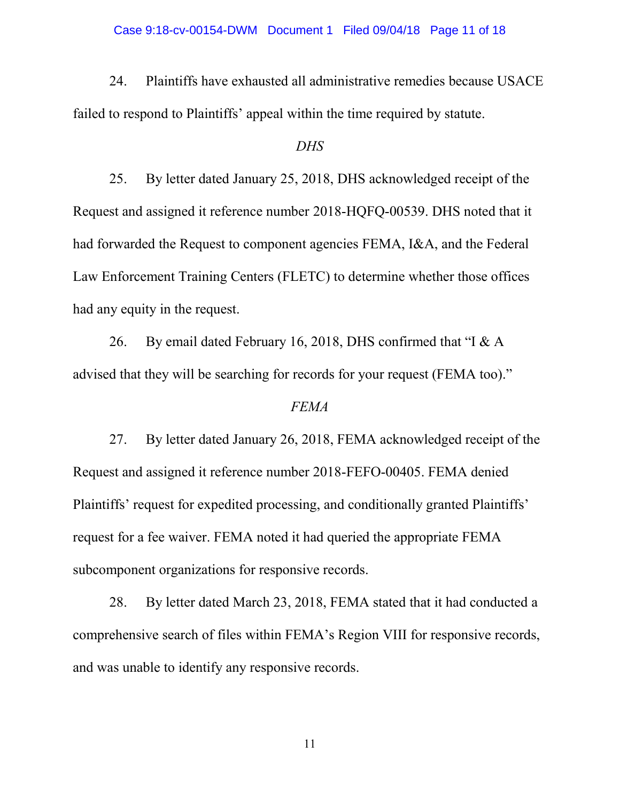24. Plaintiffs have exhausted all administrative remedies because USACE failed to respond to Plaintiffs' appeal within the time required by statute.

### *DHS*

25. By letter dated January 25, 2018, DHS acknowledged receipt of the Request and assigned it reference number 2018-HQFQ-00539. DHS noted that it had forwarded the Request to component agencies FEMA, I&A, and the Federal Law Enforcement Training Centers (FLETC) to determine whether those offices had any equity in the request.

26. By email dated February 16, 2018, DHS confirmed that "I & A advised that they will be searching for records for your request (FEMA too)."

### *FEMA*

27. By letter dated January 26, 2018, FEMA acknowledged receipt of the Request and assigned it reference number 2018-FEFO-00405. FEMA denied Plaintiffs' request for expedited processing, and conditionally granted Plaintiffs' request for a fee waiver. FEMA noted it had queried the appropriate FEMA subcomponent organizations for responsive records.

28. By letter dated March 23, 2018, FEMA stated that it had conducted a comprehensive search of files within FEMA's Region VIII for responsive records, and was unable to identify any responsive records.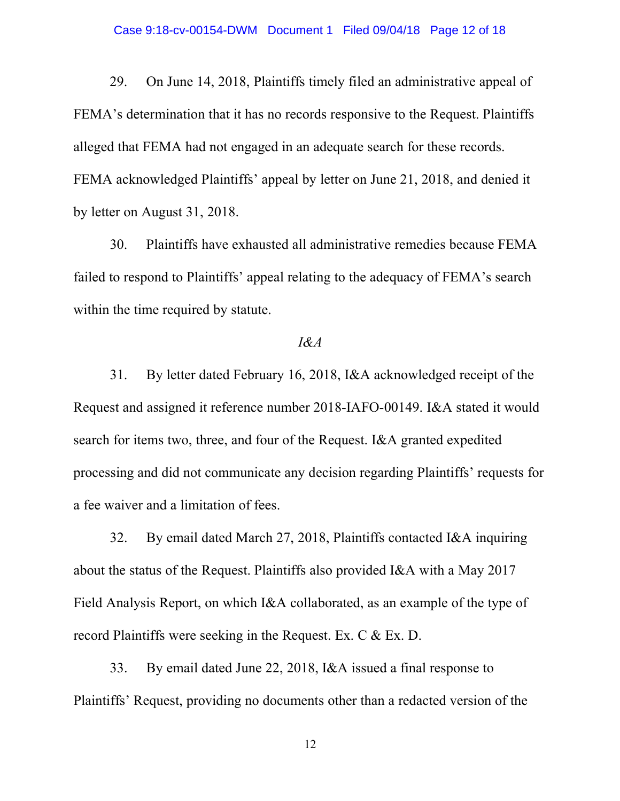29. On June 14, 2018, Plaintiffs timely filed an administrative appeal of FEMA's determination that it has no records responsive to the Request. Plaintiffs alleged that FEMA had not engaged in an adequate search for these records. FEMA acknowledged Plaintiffs' appeal by letter on June 21, 2018, and denied it by letter on August 31, 2018.

30. Plaintiffs have exhausted all administrative remedies because FEMA failed to respond to Plaintiffs' appeal relating to the adequacy of FEMA's search within the time required by statute.

# *I&A*

31. By letter dated February 16, 2018, I&A acknowledged receipt of the Request and assigned it reference number 2018-IAFO-00149. I&A stated it would search for items two, three, and four of the Request. I&A granted expedited processing and did not communicate any decision regarding Plaintiffs' requests for a fee waiver and a limitation of fees.

32. By email dated March 27, 2018, Plaintiffs contacted I&A inquiring about the status of the Request. Plaintiffs also provided I&A with a May 2017 Field Analysis Report, on which I&A collaborated, as an example of the type of record Plaintiffs were seeking in the Request. Ex. C & Ex. D.

33. By email dated June 22, 2018, I&A issued a final response to Plaintiffs' Request, providing no documents other than a redacted version of the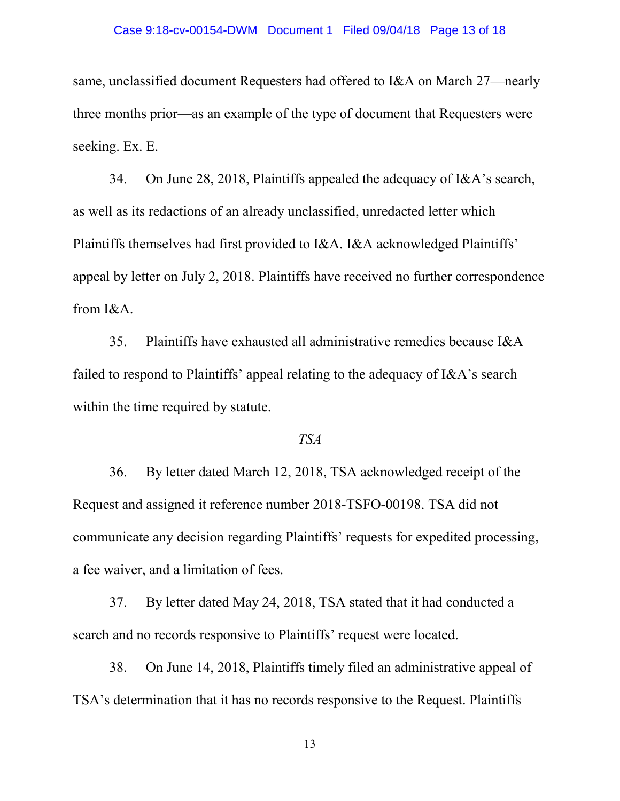#### Case 9:18-cv-00154-DWM Document 1 Filed 09/04/18 Page 13 of 18

same, unclassified document Requesters had offered to I&A on March 27—nearly three months prior—as an example of the type of document that Requesters were seeking. Ex. E.

34. On June 28, 2018, Plaintiffs appealed the adequacy of I&A's search, as well as its redactions of an already unclassified, unredacted letter which Plaintiffs themselves had first provided to I&A. I&A acknowledged Plaintiffs' appeal by letter on July 2, 2018. Plaintiffs have received no further correspondence from I&A.

35. Plaintiffs have exhausted all administrative remedies because I&A failed to respond to Plaintiffs' appeal relating to the adequacy of I&A's search within the time required by statute.

## *TSA*

36. By letter dated March 12, 2018, TSA acknowledged receipt of the Request and assigned it reference number 2018-TSFO-00198. TSA did not communicate any decision regarding Plaintiffs' requests for expedited processing, a fee waiver, and a limitation of fees.

37. By letter dated May 24, 2018, TSA stated that it had conducted a search and no records responsive to Plaintiffs' request were located.

38. On June 14, 2018, Plaintiffs timely filed an administrative appeal of TSA's determination that it has no records responsive to the Request. Plaintiffs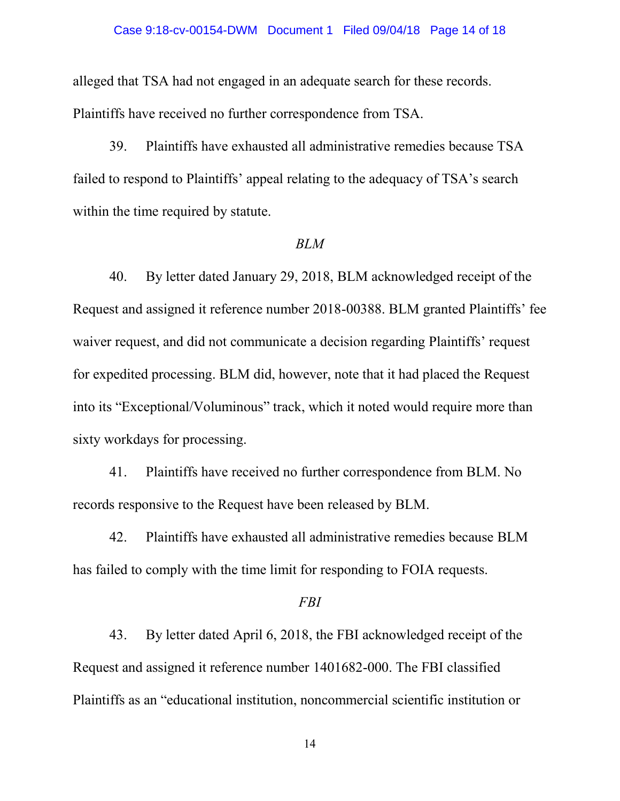#### Case 9:18-cv-00154-DWM Document 1 Filed 09/04/18 Page 14 of 18

alleged that TSA had not engaged in an adequate search for these records. Plaintiffs have received no further correspondence from TSA.

39. Plaintiffs have exhausted all administrative remedies because TSA failed to respond to Plaintiffs' appeal relating to the adequacy of TSA's search within the time required by statute.

#### *BLM*

40. By letter dated January 29, 2018, BLM acknowledged receipt of the Request and assigned it reference number 2018-00388. BLM granted Plaintiffs' fee waiver request, and did not communicate a decision regarding Plaintiffs' request for expedited processing. BLM did, however, note that it had placed the Request into its "Exceptional/Voluminous" track, which it noted would require more than sixty workdays for processing.

41. Plaintiffs have received no further correspondence from BLM. No records responsive to the Request have been released by BLM.

42. Plaintiffs have exhausted all administrative remedies because BLM has failed to comply with the time limit for responding to FOIA requests.

#### *FBI*

43. By letter dated April 6, 2018, the FBI acknowledged receipt of the Request and assigned it reference number 1401682-000. The FBI classified Plaintiffs as an "educational institution, noncommercial scientific institution or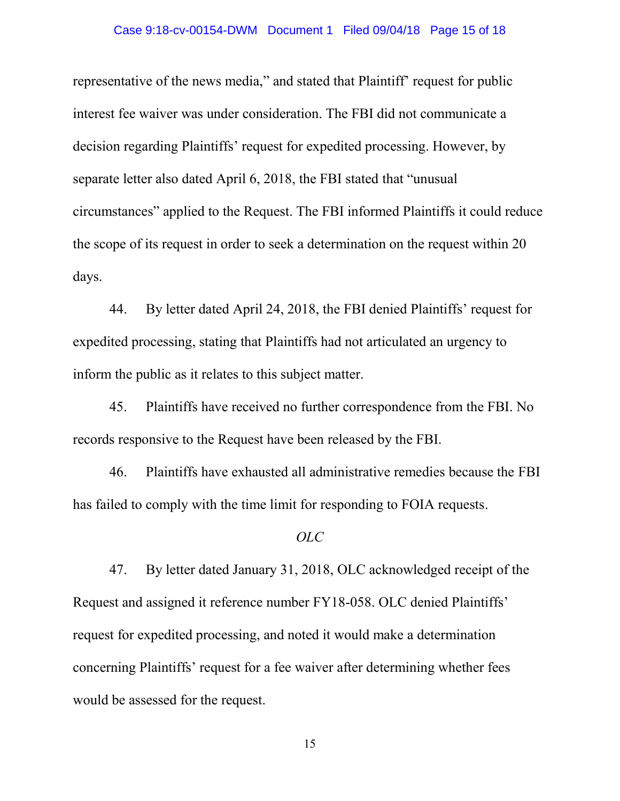representative of the news media," and stated that Plaintiff' request for public interest fee waiver was under consideration. The FBI did not communicate a decision regarding Plaintiffs' request for expedited processing. However, by separate letter also dated April 6, 2018, the FBI stated that "unusual circumstances" applied to the Request. The FBI informed Plaintiffs it could reduce the scope of its request in order to seek a determination on the request within 20 days.

44. By letter dated April 24, 2018, the FBI denied Plaintiffs' request for expedited processing, stating that Plaintiffs had not articulated an urgency to inform the public as it relates to this subject matter.

45. Plaintiffs have received no further correspondence from the FBI. No records responsive to the Request have been released by the FBI.

46. Plaintiffs have exhausted all administrative remedies because the FBI has failed to comply with the time limit for responding to FOIA requests.

#### *OLC*

47. By letter dated January 31, 2018, OLC acknowledged receipt of the Request and assigned it reference number FY18-058. OLC denied Plaintiffs' request for expedited processing, and noted it would make a determination concerning Plaintiffs' request for a fee waiver after determining whether fees would be assessed for the request.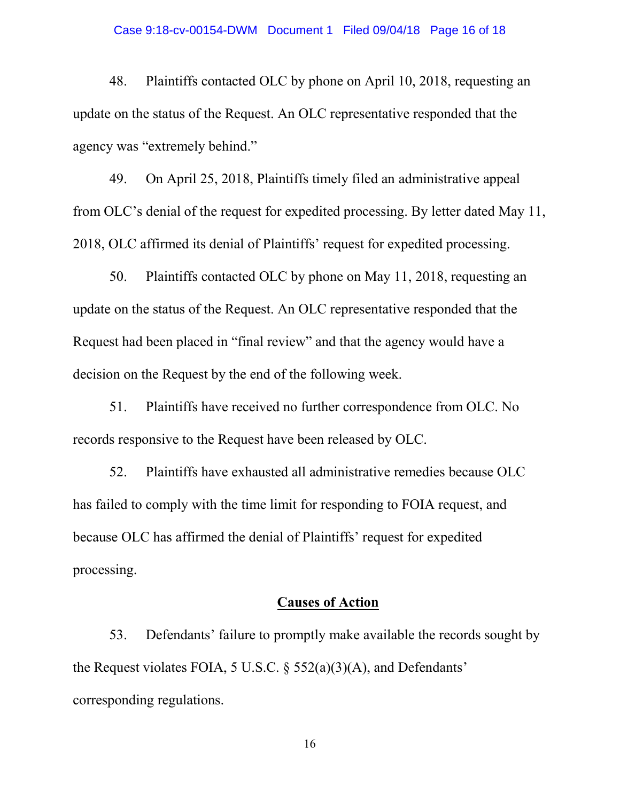#### Case 9:18-cv-00154-DWM Document 1 Filed 09/04/18 Page 16 of 18

48. Plaintiffs contacted OLC by phone on April 10, 2018, requesting an update on the status of the Request. An OLC representative responded that the agency was "extremely behind."

49. On April 25, 2018, Plaintiffs timely filed an administrative appeal from OLC's denial of the request for expedited processing. By letter dated May 11, 2018, OLC affirmed its denial of Plaintiffs' request for expedited processing.

50. Plaintiffs contacted OLC by phone on May 11, 2018, requesting an update on the status of the Request. An OLC representative responded that the Request had been placed in "final review" and that the agency would have a decision on the Request by the end of the following week.

51. Plaintiffs have received no further correspondence from OLC. No records responsive to the Request have been released by OLC.

52. Plaintiffs have exhausted all administrative remedies because OLC has failed to comply with the time limit for responding to FOIA request, and because OLC has affirmed the denial of Plaintiffs' request for expedited processing.

# **Causes of Action**

53. Defendants' failure to promptly make available the records sought by the Request violates FOIA, 5 U.S.C. § 552(a)(3)(A), and Defendants' corresponding regulations.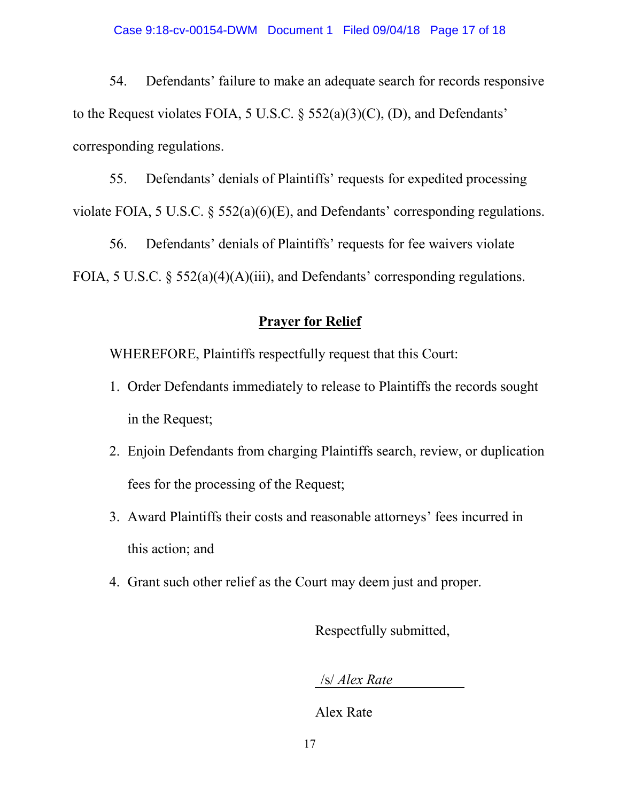54. Defendants' failure to make an adequate search for records responsive to the Request violates FOIA, 5 U.S.C.  $\S$  552(a)(3)(C), (D), and Defendants' corresponding regulations.

55. Defendants' denials of Plaintiffs' requests for expedited processing violate FOIA, 5 U.S.C. § 552(a)(6)(E), and Defendants' corresponding regulations.

56. Defendants' denials of Plaintiffs' requests for fee waivers violate FOIA, 5 U.S.C. § 552(a)(4)(A)(iii), and Defendants' corresponding regulations.

# **Prayer for Relief**

WHEREFORE, Plaintiffs respectfully request that this Court:

- 1. Order Defendants immediately to release to Plaintiffs the records sought in the Request;
- 2. Enjoin Defendants from charging Plaintiffs search, review, or duplication fees for the processing of the Request;
- 3. Award Plaintiffs their costs and reasonable attorneys' fees incurred in this action; and
- 4. Grant such other relief as the Court may deem just and proper.

Respectfully submitted,

/s/ *Alex Rate*

Alex Rate